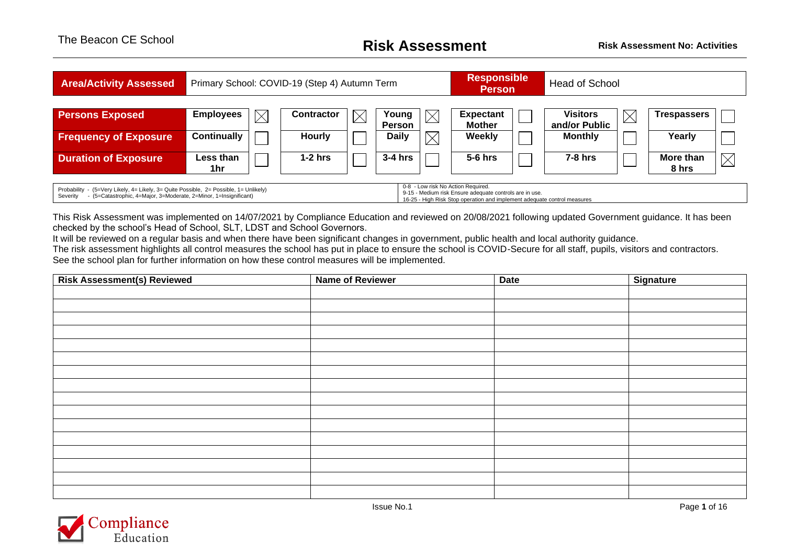## The Beacon CE School **Risk Assessment Risk Assessment No: Activities**

| <b>Area/Activity Assessed</b>                                                                                                                                                                                                                     |                                                                                                                                                                                                                                                                                                                                         | Primary School: COVID-19 (Step 4) Autumn Term |  |              |             | <b>Responsible</b><br><b>Person</b> |  | <b>Head of School</b> |  |                    |             |
|---------------------------------------------------------------------------------------------------------------------------------------------------------------------------------------------------------------------------------------------------|-----------------------------------------------------------------------------------------------------------------------------------------------------------------------------------------------------------------------------------------------------------------------------------------------------------------------------------------|-----------------------------------------------|--|--------------|-------------|-------------------------------------|--|-----------------------|--|--------------------|-------------|
| <b>Persons Exposed</b><br><b>Employees</b><br><b>Visitors</b><br><b>Expectant</b><br>$\times$<br>Young<br><b>Trespassers</b><br><b>Contractor</b><br>$\boxtimes$<br>$\boxtimes$<br>$\boxtimes$<br>and/or Public<br><b>Mother</b><br><b>Person</b> |                                                                                                                                                                                                                                                                                                                                         |                                               |  |              |             |                                     |  |                       |  |                    |             |
| <b>Frequency of Exposure</b>                                                                                                                                                                                                                      | <b>Continually</b>                                                                                                                                                                                                                                                                                                                      | Hourly                                        |  | <b>Daily</b> | $\boxtimes$ | <b>Weekly</b>                       |  | <b>Monthly</b>        |  | Yearly             |             |
| <b>Duration of Exposure</b>                                                                                                                                                                                                                       | Less than<br>1hr                                                                                                                                                                                                                                                                                                                        | $1-2$ hrs                                     |  | $3-4$ hrs    |             | $5-6$ hrs                           |  | $7-8$ hrs             |  | More than<br>8 hrs | $\boxtimes$ |
| Severity                                                                                                                                                                                                                                          | 0-8 - Low risk No Action Required.<br>Probability - (5=Very Likely, 4= Likely, 3= Quite Possible, 2= Possible, 1= Unlikely)<br>9-15 - Medium risk Ensure adequate controls are in use.<br>- (5=Catastrophic, 4=Major, 3=Moderate, 2=Minor, 1=Insignificant)<br>16-25 - High Risk Stop operation and implement adequate control measures |                                               |  |              |             |                                     |  |                       |  |                    |             |

This Risk Assessment was implemented on 14/07/2021 by Compliance Education and reviewed on 20/08/2021 following updated Government guidance. It has been checked by the school's Head of School, SLT, LDST and School Governors.

It will be reviewed on a regular basis and when there have been significant changes in government, public health and local authority guidance.

The risk assessment highlights all control measures the school has put in place to ensure the school is COVID-Secure for all staff, pupils, visitors and contractors. See the school plan for further information on how these control measures will be implemented.

| <b>Risk Assessment(s) Reviewed</b> | <b>Name of Reviewer</b> | Date | <b>Signature</b> |
|------------------------------------|-------------------------|------|------------------|
|                                    |                         |      |                  |
|                                    |                         |      |                  |
|                                    |                         |      |                  |
|                                    |                         |      |                  |
|                                    |                         |      |                  |
|                                    |                         |      |                  |
|                                    |                         |      |                  |
|                                    |                         |      |                  |
|                                    |                         |      |                  |
|                                    |                         |      |                  |
|                                    |                         |      |                  |
|                                    |                         |      |                  |
|                                    |                         |      |                  |
|                                    |                         |      |                  |
|                                    |                         |      |                  |
|                                    |                         |      |                  |

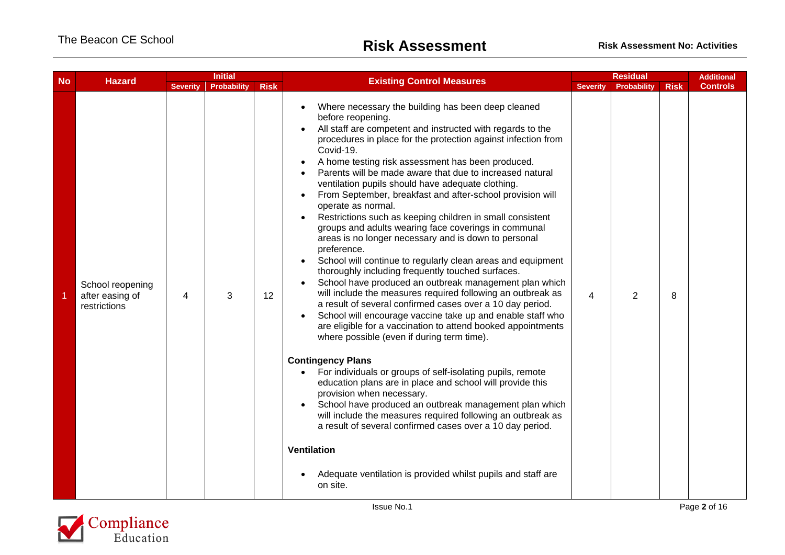|           |                                                     | <b>Initial</b>  |                    |             |                                                                                                                                                                                                                                                                                                                                                                                                                                                                                                                                                                                                                                                                                                                                                                                                                                                                                                                                                                                                                                                                                                                                                                                                                                                                                                                                                                                                                                                                                                                                                                                                                                                  |                 | <b>Additional</b>              |             |                 |
|-----------|-----------------------------------------------------|-----------------|--------------------|-------------|--------------------------------------------------------------------------------------------------------------------------------------------------------------------------------------------------------------------------------------------------------------------------------------------------------------------------------------------------------------------------------------------------------------------------------------------------------------------------------------------------------------------------------------------------------------------------------------------------------------------------------------------------------------------------------------------------------------------------------------------------------------------------------------------------------------------------------------------------------------------------------------------------------------------------------------------------------------------------------------------------------------------------------------------------------------------------------------------------------------------------------------------------------------------------------------------------------------------------------------------------------------------------------------------------------------------------------------------------------------------------------------------------------------------------------------------------------------------------------------------------------------------------------------------------------------------------------------------------------------------------------------------------|-----------------|--------------------------------|-------------|-----------------|
| <b>No</b> | <b>Hazard</b>                                       | <b>Severity</b> | <b>Probability</b> | <b>Risk</b> | <b>Existing Control Measures</b>                                                                                                                                                                                                                                                                                                                                                                                                                                                                                                                                                                                                                                                                                                                                                                                                                                                                                                                                                                                                                                                                                                                                                                                                                                                                                                                                                                                                                                                                                                                                                                                                                 | <b>Severity</b> | <b>Residual</b><br>Probability | <b>Risk</b> | <b>Controls</b> |
|           | School reopening<br>after easing of<br>restrictions | 4               | 3                  | 12          | Where necessary the building has been deep cleaned<br>$\bullet$<br>before reopening.<br>All staff are competent and instructed with regards to the<br>procedures in place for the protection against infection from<br>Covid-19.<br>A home testing risk assessment has been produced.<br>Parents will be made aware that due to increased natural<br>ventilation pupils should have adequate clothing.<br>From September, breakfast and after-school provision will<br>operate as normal.<br>Restrictions such as keeping children in small consistent<br>groups and adults wearing face coverings in communal<br>areas is no longer necessary and is down to personal<br>preference.<br>School will continue to regularly clean areas and equipment<br>thoroughly including frequently touched surfaces.<br>School have produced an outbreak management plan which<br>will include the measures required following an outbreak as<br>a result of several confirmed cases over a 10 day period.<br>School will encourage vaccine take up and enable staff who<br>are eligible for a vaccination to attend booked appointments<br>where possible (even if during term time).<br><b>Contingency Plans</b><br>For individuals or groups of self-isolating pupils, remote<br>education plans are in place and school will provide this<br>provision when necessary.<br>School have produced an outbreak management plan which<br>will include the measures required following an outbreak as<br>a result of several confirmed cases over a 10 day period.<br>Ventilation<br>Adequate ventilation is provided whilst pupils and staff are<br>on site. | 4               | 2                              | 8           |                 |

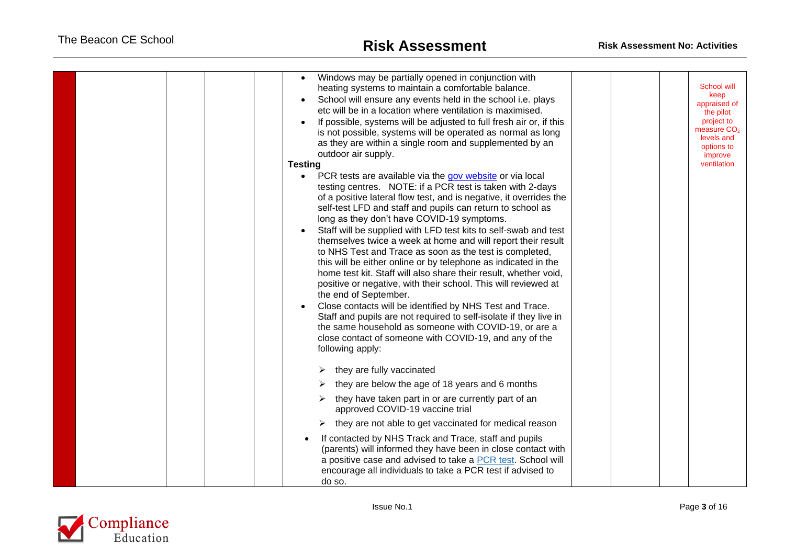| Windows may be partially opened in conjunction with<br>$\bullet$<br>heating systems to maintain a comfortable balance.<br>School will ensure any events held in the school i.e. plays<br>$\bullet$<br>etc will be in a location where ventilation is maximised.<br>If possible, systems will be adjusted to full fresh air or, if this<br>is not possible, systems will be operated as normal as long<br>as they are within a single room and supplemented by an<br>outdoor air supply.<br><b>Testing</b><br>• PCR tests are available via the gov website or via local<br>testing centres. NOTE: if a PCR test is taken with 2-days<br>of a positive lateral flow test, and is negative, it overrides the<br>self-test LFD and staff and pupils can return to school as<br>long as they don't have COVID-19 symptoms.<br>Staff will be supplied with LFD test kits to self-swab and test<br>themselves twice a week at home and will report their result<br>to NHS Test and Trace as soon as the test is completed,<br>this will be either online or by telephone as indicated in the<br>home test kit. Staff will also share their result, whether void,<br>positive or negative, with their school. This will reviewed at<br>the end of September.<br>Close contacts will be identified by NHS Test and Trace.<br>Staff and pupils are not required to self-isolate if they live in<br>the same household as someone with COVID-19, or are a<br>close contact of someone with COVID-19, and any of the<br>following apply:<br>they are fully vaccinated<br>they are below the age of 18 years and 6 months<br>➤ | <b>School will</b><br>keep<br>appraised of<br>the pilot<br>project to<br>measure $CO2$<br>levels and<br>options to<br>improve<br>ventilation |
|--------------------------------------------------------------------------------------------------------------------------------------------------------------------------------------------------------------------------------------------------------------------------------------------------------------------------------------------------------------------------------------------------------------------------------------------------------------------------------------------------------------------------------------------------------------------------------------------------------------------------------------------------------------------------------------------------------------------------------------------------------------------------------------------------------------------------------------------------------------------------------------------------------------------------------------------------------------------------------------------------------------------------------------------------------------------------------------------------------------------------------------------------------------------------------------------------------------------------------------------------------------------------------------------------------------------------------------------------------------------------------------------------------------------------------------------------------------------------------------------------------------------------------------------------------------------------------------------------------------------|----------------------------------------------------------------------------------------------------------------------------------------------|
| they have taken part in or are currently part of an                                                                                                                                                                                                                                                                                                                                                                                                                                                                                                                                                                                                                                                                                                                                                                                                                                                                                                                                                                                                                                                                                                                                                                                                                                                                                                                                                                                                                                                                                                                                                                |                                                                                                                                              |
| approved COVID-19 vaccine trial                                                                                                                                                                                                                                                                                                                                                                                                                                                                                                                                                                                                                                                                                                                                                                                                                                                                                                                                                                                                                                                                                                                                                                                                                                                                                                                                                                                                                                                                                                                                                                                    |                                                                                                                                              |
| they are not able to get vaccinated for medical reason<br>➤                                                                                                                                                                                                                                                                                                                                                                                                                                                                                                                                                                                                                                                                                                                                                                                                                                                                                                                                                                                                                                                                                                                                                                                                                                                                                                                                                                                                                                                                                                                                                        |                                                                                                                                              |
| If contacted by NHS Track and Trace, staff and pupils<br>(parents) will informed they have been in close contact with<br>a positive case and advised to take a PCR test. School will<br>encourage all individuals to take a PCR test if advised to<br>do so.                                                                                                                                                                                                                                                                                                                                                                                                                                                                                                                                                                                                                                                                                                                                                                                                                                                                                                                                                                                                                                                                                                                                                                                                                                                                                                                                                       |                                                                                                                                              |

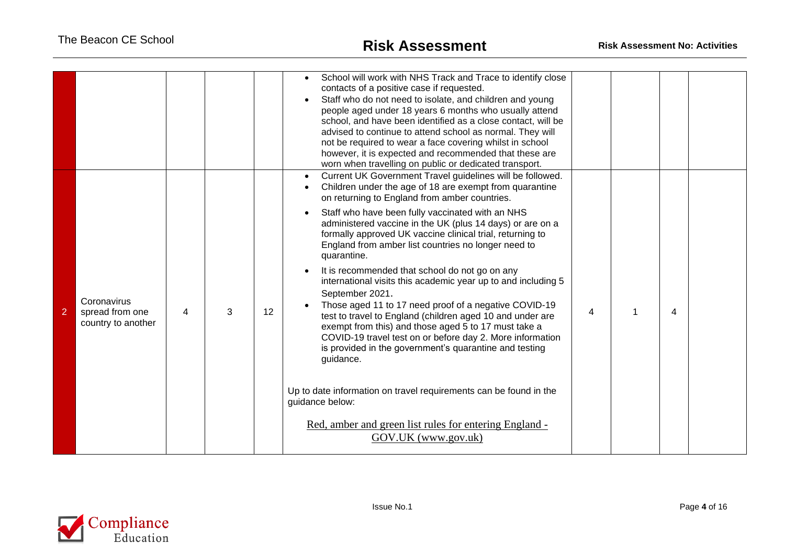|                |                                                      |   |   |    | School will work with NHS Track and Trace to identify close<br>contacts of a positive case if requested.<br>Staff who do not need to isolate, and children and young<br>people aged under 18 years 6 months who usually attend<br>school, and have been identified as a close contact, will be<br>advised to continue to attend school as normal. They will<br>not be required to wear a face covering whilst in school<br>however, it is expected and recommended that these are<br>worn when travelling on public or dedicated transport. |   |   |   |  |
|----------------|------------------------------------------------------|---|---|----|---------------------------------------------------------------------------------------------------------------------------------------------------------------------------------------------------------------------------------------------------------------------------------------------------------------------------------------------------------------------------------------------------------------------------------------------------------------------------------------------------------------------------------------------|---|---|---|--|
|                |                                                      |   |   |    | Current UK Government Travel guidelines will be followed.<br>$\bullet$<br>Children under the age of 18 are exempt from quarantine<br>on returning to England from amber countries.                                                                                                                                                                                                                                                                                                                                                          |   |   |   |  |
|                |                                                      |   |   |    | Staff who have been fully vaccinated with an NHS<br>administered vaccine in the UK (plus 14 days) or are on a<br>formally approved UK vaccine clinical trial, returning to<br>England from amber list countries no longer need to<br>quarantine.                                                                                                                                                                                                                                                                                            |   |   |   |  |
|                |                                                      |   |   |    | It is recommended that school do not go on any<br>international visits this academic year up to and including 5<br>September 2021.                                                                                                                                                                                                                                                                                                                                                                                                          |   |   |   |  |
| $\overline{2}$ | Coronavirus<br>spread from one<br>country to another | 4 | 3 | 12 | Those aged 11 to 17 need proof of a negative COVID-19<br>test to travel to England (children aged 10 and under are<br>exempt from this) and those aged 5 to 17 must take a<br>COVID-19 travel test on or before day 2. More information<br>is provided in the government's quarantine and testing<br>guidance.                                                                                                                                                                                                                              | 4 | 1 | 4 |  |
|                |                                                      |   |   |    | Up to date information on travel requirements can be found in the<br>guidance below:                                                                                                                                                                                                                                                                                                                                                                                                                                                        |   |   |   |  |
|                |                                                      |   |   |    | Red, amber and green list rules for entering England -<br>GOV.UK (www.gov.uk)                                                                                                                                                                                                                                                                                                                                                                                                                                                               |   |   |   |  |

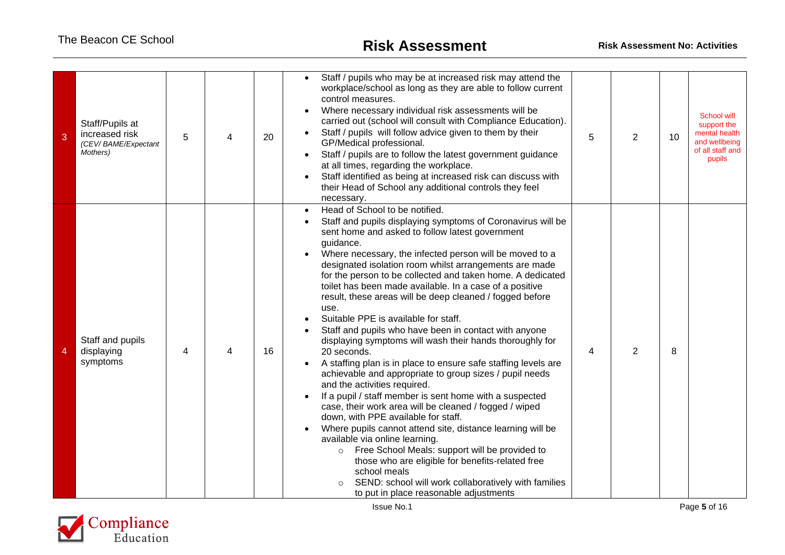| 3 | Staff/Pupils at<br>increased risk<br>(CEV/BAME/Expectant<br>Mothers) | 5 | 4 | 20 | Staff / pupils who may be at increased risk may attend the<br>workplace/school as long as they are able to follow current<br>control measures.<br>Where necessary individual risk assessments will be<br>carried out (school will consult with Compliance Education).<br>Staff / pupils will follow advice given to them by their<br>GP/Medical professional.<br>Staff / pupils are to follow the latest government guidance<br>at all times, regarding the workplace.<br>Staff identified as being at increased risk can discuss with<br>their Head of School any additional controls they feel<br>necessary.                                                                                                                                                                                                                                                                                                                                                                                                                                                                                                                                                                                                                                                                                                 | 5. | 2 | 10 | <b>School will</b><br>support the<br>mental health<br>and wellbeing<br>of all staff and<br>pupils |
|---|----------------------------------------------------------------------|---|---|----|----------------------------------------------------------------------------------------------------------------------------------------------------------------------------------------------------------------------------------------------------------------------------------------------------------------------------------------------------------------------------------------------------------------------------------------------------------------------------------------------------------------------------------------------------------------------------------------------------------------------------------------------------------------------------------------------------------------------------------------------------------------------------------------------------------------------------------------------------------------------------------------------------------------------------------------------------------------------------------------------------------------------------------------------------------------------------------------------------------------------------------------------------------------------------------------------------------------------------------------------------------------------------------------------------------------|----|---|----|---------------------------------------------------------------------------------------------------|
|   | Staff and pupils<br>displaying<br>symptoms                           | 4 | 4 | 16 | Head of School to be notified.<br>Staff and pupils displaying symptoms of Coronavirus will be<br>sent home and asked to follow latest government<br>guidance.<br>Where necessary, the infected person will be moved to a<br>designated isolation room whilst arrangements are made<br>for the person to be collected and taken home. A dedicated<br>toilet has been made available. In a case of a positive<br>result, these areas will be deep cleaned / fogged before<br>use.<br>Suitable PPE is available for staff.<br>Staff and pupils who have been in contact with anyone<br>displaying symptoms will wash their hands thoroughly for<br>20 seconds.<br>A staffing plan is in place to ensure safe staffing levels are<br>achievable and appropriate to group sizes / pupil needs<br>and the activities required.<br>If a pupil / staff member is sent home with a suspected<br>case, their work area will be cleaned / fogged / wiped<br>down, with PPE available for staff.<br>Where pupils cannot attend site, distance learning will be<br>available via online learning.<br>o Free School Meals: support will be provided to<br>those who are eligible for benefits-related free<br>school meals<br>SEND: school will work collaboratively with families<br>to put in place reasonable adjustments | 4  | 2 | 8  |                                                                                                   |

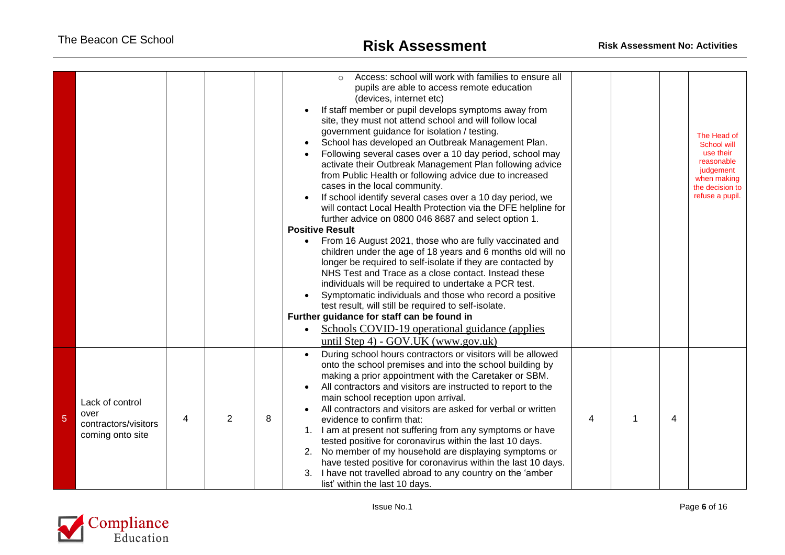|                |                                                                     |   |   |   | Access: school will work with families to ensure all<br>$\circ$<br>pupils are able to access remote education<br>(devices, internet etc)<br>If staff member or pupil develops symptoms away from<br>site, they must not attend school and will follow local<br>government guidance for isolation / testing.<br>School has developed an Outbreak Management Plan.<br>Following several cases over a 10 day period, school may<br>activate their Outbreak Management Plan following advice<br>from Public Health or following advice due to increased<br>cases in the local community.<br>If school identify several cases over a 10 day period, we<br>will contact Local Health Protection via the DFE helpline for<br>further advice on 0800 046 8687 and select option 1.<br><b>Positive Result</b><br>From 16 August 2021, those who are fully vaccinated and<br>children under the age of 18 years and 6 months old will no<br>longer be required to self-isolate if they are contacted by<br>NHS Test and Trace as a close contact. Instead these<br>individuals will be required to undertake a PCR test.<br>Symptomatic individuals and those who record a positive<br>test result, will still be required to self-isolate.<br>Further guidance for staff can be found in<br>Schools COVID-19 operational guidance (applies<br>until Step 4) - GOV.UK (www.gov.uk) |   |   | The Head of<br>School will<br>use their<br>reasonable<br>judgement<br>when making<br>the decision to<br>refuse a pupil. |
|----------------|---------------------------------------------------------------------|---|---|---|--------------------------------------------------------------------------------------------------------------------------------------------------------------------------------------------------------------------------------------------------------------------------------------------------------------------------------------------------------------------------------------------------------------------------------------------------------------------------------------------------------------------------------------------------------------------------------------------------------------------------------------------------------------------------------------------------------------------------------------------------------------------------------------------------------------------------------------------------------------------------------------------------------------------------------------------------------------------------------------------------------------------------------------------------------------------------------------------------------------------------------------------------------------------------------------------------------------------------------------------------------------------------------------------------------------------------------------------------------------------------|---|---|-------------------------------------------------------------------------------------------------------------------------|
| $\overline{5}$ | Lack of control<br>over<br>contractors/visitors<br>coming onto site | 4 | 2 | 8 | During school hours contractors or visitors will be allowed<br>onto the school premises and into the school building by<br>making a prior appointment with the Caretaker or SBM.<br>All contractors and visitors are instructed to report to the<br>main school reception upon arrival.<br>All contractors and visitors are asked for verbal or written<br>evidence to confirm that:<br>I am at present not suffering from any symptoms or have<br>1.<br>tested positive for coronavirus within the last 10 days.<br>No member of my household are displaying symptoms or<br>2.<br>have tested positive for coronavirus within the last 10 days.<br>I have not travelled abroad to any country on the 'amber<br>3.<br>list' within the last 10 days.                                                                                                                                                                                                                                                                                                                                                                                                                                                                                                                                                                                                                     | 4 | 4 |                                                                                                                         |

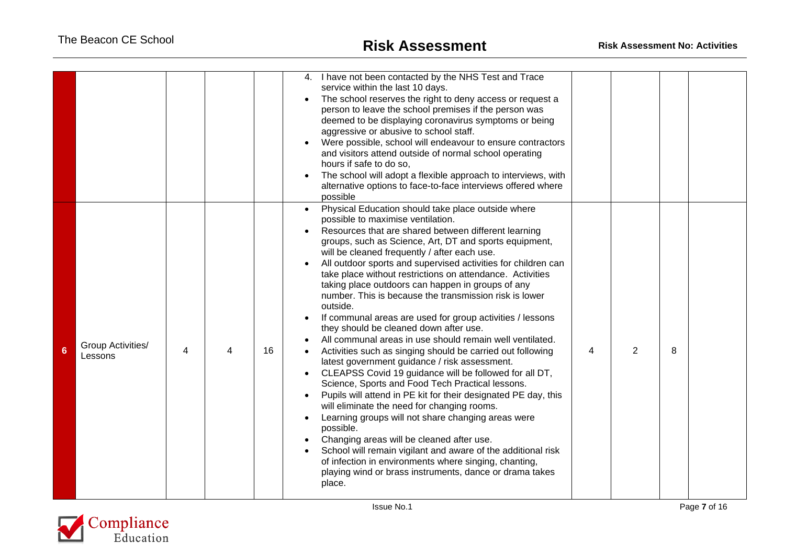|   |                              |   |   |    | I have not been contacted by the NHS Test and Trace<br>4.<br>service within the last 10 days.<br>The school reserves the right to deny access or request a<br>person to leave the school premises if the person was<br>deemed to be displaying coronavirus symptoms or being<br>aggressive or abusive to school staff.<br>Were possible, school will endeavour to ensure contractors<br>and visitors attend outside of normal school operating<br>hours if safe to do so,<br>The school will adopt a flexible approach to interviews, with<br>alternative options to face-to-face interviews offered where<br>possible                                                                                                                                                                                                                                                                                                                                                                                                                                                                                                                                                                                                                                                                                                                                         |                |                |   |  |
|---|------------------------------|---|---|----|----------------------------------------------------------------------------------------------------------------------------------------------------------------------------------------------------------------------------------------------------------------------------------------------------------------------------------------------------------------------------------------------------------------------------------------------------------------------------------------------------------------------------------------------------------------------------------------------------------------------------------------------------------------------------------------------------------------------------------------------------------------------------------------------------------------------------------------------------------------------------------------------------------------------------------------------------------------------------------------------------------------------------------------------------------------------------------------------------------------------------------------------------------------------------------------------------------------------------------------------------------------------------------------------------------------------------------------------------------------|----------------|----------------|---|--|
| 6 | Group Activities/<br>Lessons | 4 | 4 | 16 | Physical Education should take place outside where<br>possible to maximise ventilation.<br>Resources that are shared between different learning<br>groups, such as Science, Art, DT and sports equipment,<br>will be cleaned frequently / after each use.<br>All outdoor sports and supervised activities for children can<br>take place without restrictions on attendance. Activities<br>taking place outdoors can happen in groups of any<br>number. This is because the transmission risk is lower<br>outside.<br>If communal areas are used for group activities / lessons<br>they should be cleaned down after use.<br>All communal areas in use should remain well ventilated.<br>Activities such as singing should be carried out following<br>latest government guidance / risk assessment.<br>CLEAPSS Covid 19 guidance will be followed for all DT,<br>Science, Sports and Food Tech Practical lessons.<br>Pupils will attend in PE kit for their designated PE day, this<br>will eliminate the need for changing rooms.<br>Learning groups will not share changing areas were<br>$\bullet$<br>possible.<br>Changing areas will be cleaned after use.<br>School will remain vigilant and aware of the additional risk<br>of infection in environments where singing, chanting,<br>playing wind or brass instruments, dance or drama takes<br>place. | $\overline{4}$ | $\overline{2}$ | 8 |  |

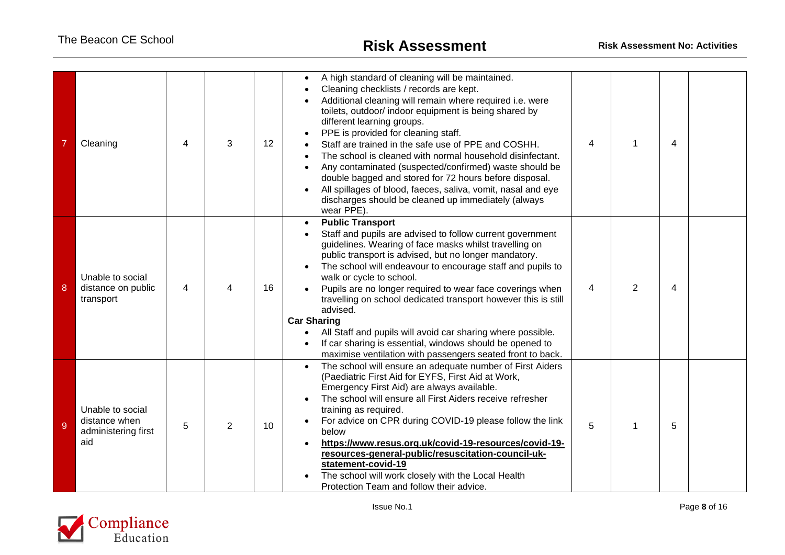|                | Cleaning                                                        | 4 | 3              | 12 | A high standard of cleaning will be maintained.<br>Cleaning checklists / records are kept.<br>Additional cleaning will remain where required i.e. were<br>toilets, outdoor/indoor equipment is being shared by<br>different learning groups.<br>PPE is provided for cleaning staff.<br>Staff are trained in the safe use of PPE and COSHH.<br>The school is cleaned with normal household disinfectant.<br>Any contaminated (suspected/confirmed) waste should be<br>double bagged and stored for 72 hours before disposal.<br>All spillages of blood, faeces, saliva, vomit, nasal and eye<br>discharges should be cleaned up immediately (always<br>wear PPE). | 4 |                | 4 |  |
|----------------|-----------------------------------------------------------------|---|----------------|----|------------------------------------------------------------------------------------------------------------------------------------------------------------------------------------------------------------------------------------------------------------------------------------------------------------------------------------------------------------------------------------------------------------------------------------------------------------------------------------------------------------------------------------------------------------------------------------------------------------------------------------------------------------------|---|----------------|---|--|
| 8              | Unable to social<br>distance on public<br>transport             | 4 |                | 16 | <b>Public Transport</b><br>Staff and pupils are advised to follow current government<br>guidelines. Wearing of face masks whilst travelling on<br>public transport is advised, but no longer mandatory.<br>The school will endeavour to encourage staff and pupils to<br>walk or cycle to school.<br>Pupils are no longer required to wear face coverings when<br>travelling on school dedicated transport however this is still<br>advised.<br><b>Car Sharing</b><br>All Staff and pupils will avoid car sharing where possible.<br>If car sharing is essential, windows should be opened to<br>maximise ventilation with passengers seated front to back.      | 4 | $\overline{2}$ | 4 |  |
| $\overline{9}$ | Unable to social<br>distance when<br>administering first<br>aid | 5 | $\overline{2}$ | 10 | The school will ensure an adequate number of First Aiders<br>(Paediatric First Aid for EYFS, First Aid at Work,<br>Emergency First Aid) are always available.<br>The school will ensure all First Aiders receive refresher<br>training as required.<br>For advice on CPR during COVID-19 please follow the link<br>below<br>https://www.resus.org.uk/covid-19-resources/covid-19-<br>resources-general-public/resuscitation-council-uk-<br>statement-covid-19<br>The school will work closely with the Local Health<br>Protection Team and follow their advice.                                                                                                  | 5 |                | 5 |  |

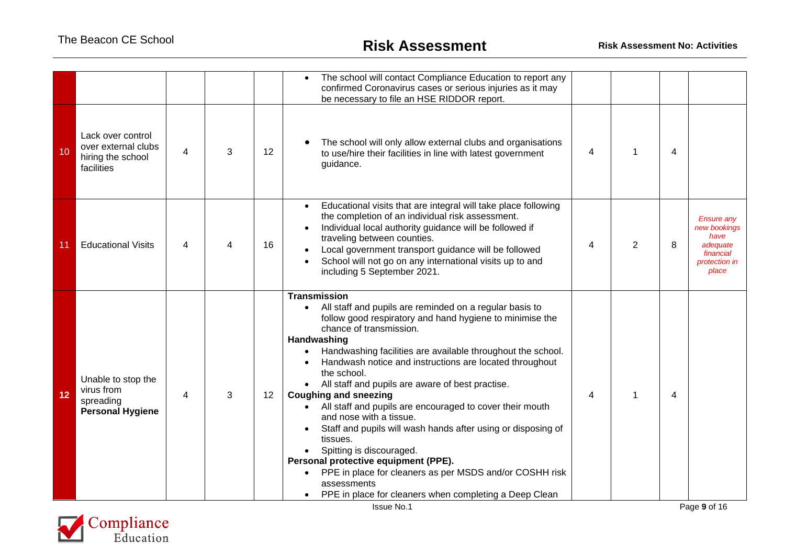|      |                                                                             |   |   |    | The school will contact Compliance Education to report any<br>confirmed Coronavirus cases or serious injuries as it may<br>be necessary to file an HSE RIDDOR report.                                                                                                                                                                                                                                                                                                                                                                                                                                                                                                                                                                                                                                                  |   |                |   |                                                                                              |  |  |
|------|-----------------------------------------------------------------------------|---|---|----|------------------------------------------------------------------------------------------------------------------------------------------------------------------------------------------------------------------------------------------------------------------------------------------------------------------------------------------------------------------------------------------------------------------------------------------------------------------------------------------------------------------------------------------------------------------------------------------------------------------------------------------------------------------------------------------------------------------------------------------------------------------------------------------------------------------------|---|----------------|---|----------------------------------------------------------------------------------------------|--|--|
| 10   | Lack over control<br>over external clubs<br>hiring the school<br>facilities | 4 | 3 | 12 | The school will only allow external clubs and organisations<br>to use/hire their facilities in line with latest government<br>guidance.                                                                                                                                                                                                                                                                                                                                                                                                                                                                                                                                                                                                                                                                                | 4 | 1              | 4 |                                                                                              |  |  |
| 11   | <b>Educational Visits</b>                                                   | 4 |   | 16 | Educational visits that are integral will take place following<br>the completion of an individual risk assessment.<br>Individual local authority guidance will be followed if<br>traveling between counties.<br>Local government transport guidance will be followed<br>School will not go on any international visits up to and<br>including 5 September 2021.                                                                                                                                                                                                                                                                                                                                                                                                                                                        | 4 | $\overline{2}$ | 8 | <b>Ensure any</b><br>new bookings<br>have<br>adequate<br>financial<br>protection in<br>place |  |  |
| $12$ | Unable to stop the<br>virus from<br>spreading<br><b>Personal Hygiene</b>    | 4 | 3 | 12 | <b>Transmission</b><br>All staff and pupils are reminded on a regular basis to<br>$\bullet$<br>follow good respiratory and hand hygiene to minimise the<br>chance of transmission.<br>Handwashing<br>Handwashing facilities are available throughout the school.<br>$\bullet$<br>Handwash notice and instructions are located throughout<br>the school.<br>All staff and pupils are aware of best practise.<br><b>Coughing and sneezing</b><br>All staff and pupils are encouraged to cover their mouth<br>and nose with a tissue.<br>Staff and pupils will wash hands after using or disposing of<br>tissues.<br>Spitting is discouraged.<br>Personal protective equipment (PPE).<br>PPE in place for cleaners as per MSDS and/or COSHH risk<br>assessments<br>PPE in place for cleaners when completing a Deep Clean | 4 | 1              | 4 |                                                                                              |  |  |
|      |                                                                             |   |   |    | Issue No.1                                                                                                                                                                                                                                                                                                                                                                                                                                                                                                                                                                                                                                                                                                                                                                                                             |   |                |   | Page 9 of 16                                                                                 |  |  |

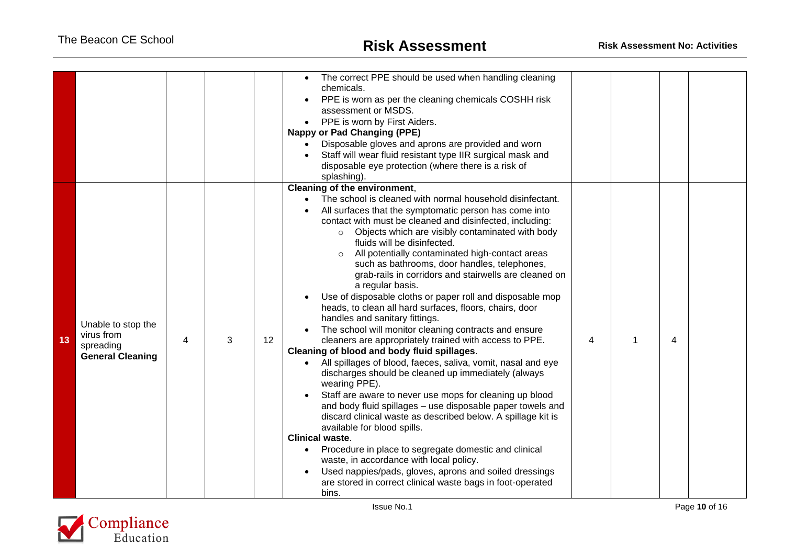|    |                                                                          |   |   |    | The correct PPE should be used when handling cleaning<br>$\bullet$<br>chemicals.<br>PPE is worn as per the cleaning chemicals COSHH risk<br>assessment or MSDS.<br>PPE is worn by First Aiders.<br><b>Nappy or Pad Changing (PPE)</b><br>Disposable gloves and aprons are provided and worn<br>Staff will wear fluid resistant type IIR surgical mask and<br>disposable eye protection (where there is a risk of<br>splashing).                                                                                                                                                                                                                                                                                                                                                                                                                                                                                                                                                                                                                                                                                                                                                                                                                                                                                                                                                                                                                                                 |   |   |   |  |
|----|--------------------------------------------------------------------------|---|---|----|---------------------------------------------------------------------------------------------------------------------------------------------------------------------------------------------------------------------------------------------------------------------------------------------------------------------------------------------------------------------------------------------------------------------------------------------------------------------------------------------------------------------------------------------------------------------------------------------------------------------------------------------------------------------------------------------------------------------------------------------------------------------------------------------------------------------------------------------------------------------------------------------------------------------------------------------------------------------------------------------------------------------------------------------------------------------------------------------------------------------------------------------------------------------------------------------------------------------------------------------------------------------------------------------------------------------------------------------------------------------------------------------------------------------------------------------------------------------------------|---|---|---|--|
| 13 | Unable to stop the<br>virus from<br>spreading<br><b>General Cleaning</b> | 4 | 3 | 12 | Cleaning of the environment,<br>The school is cleaned with normal household disinfectant.<br>All surfaces that the symptomatic person has come into<br>contact with must be cleaned and disinfected, including:<br>$\circ$ Objects which are visibly contaminated with body<br>fluids will be disinfected.<br>All potentially contaminated high-contact areas<br>such as bathrooms, door handles, telephones,<br>grab-rails in corridors and stairwells are cleaned on<br>a regular basis.<br>Use of disposable cloths or paper roll and disposable mop<br>heads, to clean all hard surfaces, floors, chairs, door<br>handles and sanitary fittings.<br>The school will monitor cleaning contracts and ensure<br>cleaners are appropriately trained with access to PPE.<br>Cleaning of blood and body fluid spillages.<br>All spillages of blood, faeces, saliva, vomit, nasal and eye<br>$\bullet$<br>discharges should be cleaned up immediately (always<br>wearing PPE).<br>Staff are aware to never use mops for cleaning up blood<br>and body fluid spillages - use disposable paper towels and<br>discard clinical waste as described below. A spillage kit is<br>available for blood spills.<br><b>Clinical waste.</b><br>Procedure in place to segregate domestic and clinical<br>$\bullet$<br>waste, in accordance with local policy.<br>Used nappies/pads, gloves, aprons and soiled dressings<br>are stored in correct clinical waste bags in foot-operated<br>bins. | 4 | 1 | 4 |  |

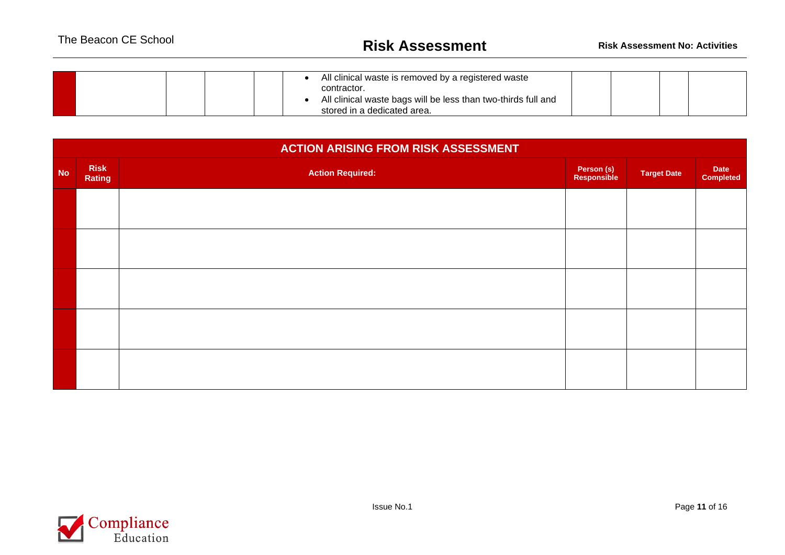| All clinical waste is removed by a registered waste<br>contractor.<br>All clinical waste bags will be less than two-thirds full and<br>stored in a dedicated area. |  |
|--------------------------------------------------------------------------------------------------------------------------------------------------------------------|--|
|--------------------------------------------------------------------------------------------------------------------------------------------------------------------|--|

| <b>ACTION ARISING FROM RISK ASSESSMENT</b> |                              |                         |                           |                    |                   |  |  |  |  |  |  |
|--------------------------------------------|------------------------------|-------------------------|---------------------------|--------------------|-------------------|--|--|--|--|--|--|
| <b>No</b>                                  | <b>Risk</b><br><b>Rating</b> | <b>Action Required:</b> | Person (s)<br>Responsible | <b>Target Date</b> | Date<br>Completed |  |  |  |  |  |  |
|                                            |                              |                         |                           |                    |                   |  |  |  |  |  |  |
|                                            |                              |                         |                           |                    |                   |  |  |  |  |  |  |
|                                            |                              |                         |                           |                    |                   |  |  |  |  |  |  |
|                                            |                              |                         |                           |                    |                   |  |  |  |  |  |  |
|                                            |                              |                         |                           |                    |                   |  |  |  |  |  |  |

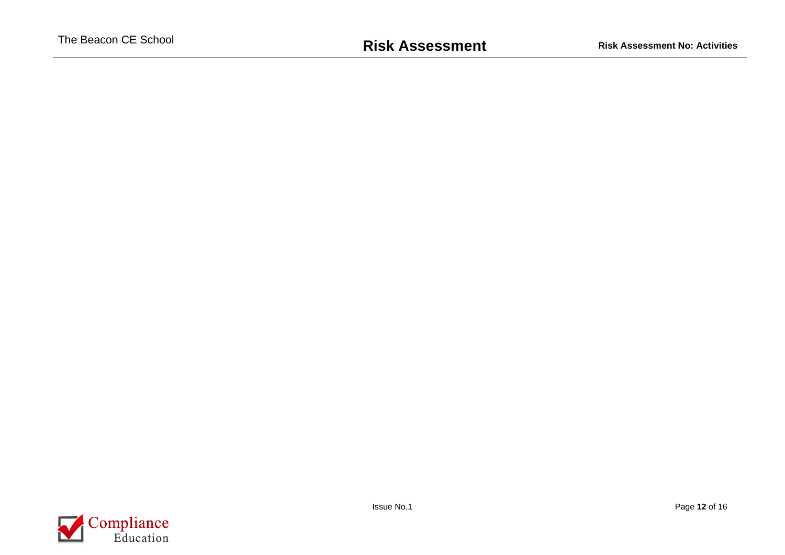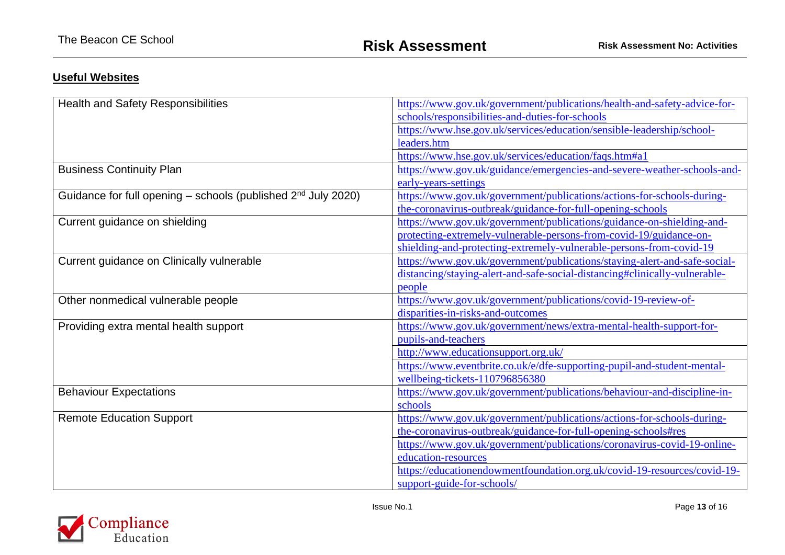## **Useful Websites**

| <b>Health and Safety Responsibilities</b><br>https://www.gov.uk/government/publications/health-and-safety-advice-for-<br>schools/responsibilities-and-duties-for-schools<br>https://www.hse.gov.uk/services/education/sensible-leadership/school-<br>leaders.htm<br>https://www.hse.gov.uk/services/education/faqs.htm#a1 |
|---------------------------------------------------------------------------------------------------------------------------------------------------------------------------------------------------------------------------------------------------------------------------------------------------------------------------|
|                                                                                                                                                                                                                                                                                                                           |
|                                                                                                                                                                                                                                                                                                                           |
|                                                                                                                                                                                                                                                                                                                           |
|                                                                                                                                                                                                                                                                                                                           |
|                                                                                                                                                                                                                                                                                                                           |
| https://www.gov.uk/guidance/emergencies-and-severe-weather-schools-and-<br><b>Business Continuity Plan</b>                                                                                                                                                                                                                |
| early-years-settings                                                                                                                                                                                                                                                                                                      |
| Guidance for full opening $-$ schools (published $2nd$ July 2020)<br>https://www.gov.uk/government/publications/actions-for-schools-during-                                                                                                                                                                               |
| the-coronavirus-outbreak/guidance-for-full-opening-schools                                                                                                                                                                                                                                                                |
| Current guidance on shielding<br>https://www.gov.uk/government/publications/guidance-on-shielding-and-                                                                                                                                                                                                                    |
| protecting-extremely-vulnerable-persons-from-covid-19/guidance-on-                                                                                                                                                                                                                                                        |
| shielding-and-protecting-extremely-vulnerable-persons-from-covid-19                                                                                                                                                                                                                                                       |
| Current guidance on Clinically vulnerable<br>https://www.gov.uk/government/publications/staying-alert-and-safe-social-                                                                                                                                                                                                    |
| distancing/staying-alert-and-safe-social-distancing#clinically-vulnerable-                                                                                                                                                                                                                                                |
| people                                                                                                                                                                                                                                                                                                                    |
| Other nonmedical vulnerable people<br>https://www.gov.uk/government/publications/covid-19-review-of-                                                                                                                                                                                                                      |
| disparities-in-risks-and-outcomes                                                                                                                                                                                                                                                                                         |
| Providing extra mental health support<br>https://www.gov.uk/government/news/extra-mental-health-support-for-                                                                                                                                                                                                              |
| pupils-and-teachers                                                                                                                                                                                                                                                                                                       |
| http://www.educationsupport.org.uk/                                                                                                                                                                                                                                                                                       |
| https://www.eventbrite.co.uk/e/dfe-supporting-pupil-and-student-mental-                                                                                                                                                                                                                                                   |
| wellbeing-tickets-110796856380                                                                                                                                                                                                                                                                                            |
| https://www.gov.uk/government/publications/behaviour-and-discipline-in-<br><b>Behaviour Expectations</b>                                                                                                                                                                                                                  |
| schools                                                                                                                                                                                                                                                                                                                   |
| <b>Remote Education Support</b><br>https://www.gov.uk/government/publications/actions-for-schools-during-                                                                                                                                                                                                                 |
| the-coronavirus-outbreak/guidance-for-full-opening-schools#res                                                                                                                                                                                                                                                            |
| https://www.gov.uk/government/publications/coronavirus-covid-19-online-                                                                                                                                                                                                                                                   |
| education-resources                                                                                                                                                                                                                                                                                                       |
| https://educationendowmentfoundation.org.uk/covid-19-resources/covid-19-                                                                                                                                                                                                                                                  |
| support-guide-for-schools/                                                                                                                                                                                                                                                                                                |

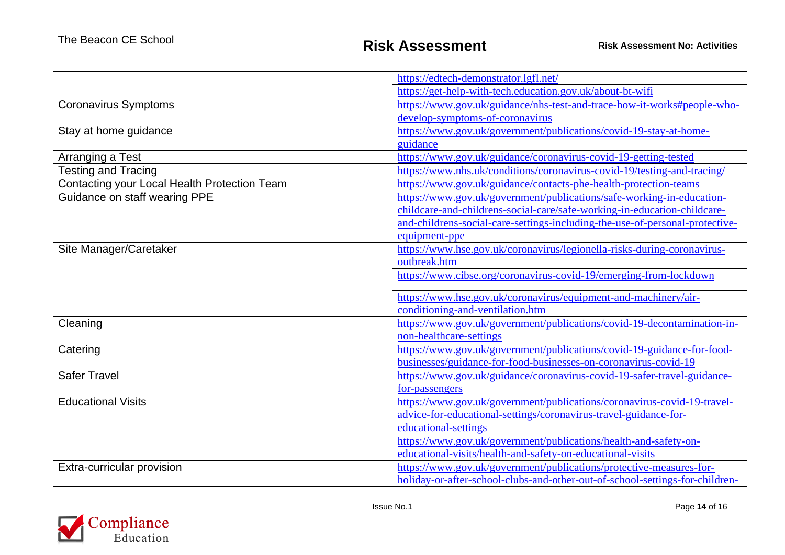|                                              | https://edtech-demonstrator.lgfl.net/                                        |  |  |  |
|----------------------------------------------|------------------------------------------------------------------------------|--|--|--|
|                                              | https://get-help-with-tech.education.gov.uk/about-bt-wifi                    |  |  |  |
| Coronavirus Symptoms                         | https://www.gov.uk/guidance/nhs-test-and-trace-how-it-works#people-who-      |  |  |  |
|                                              | develop-symptoms-of-coronavirus                                              |  |  |  |
| Stay at home guidance                        | https://www.gov.uk/government/publications/covid-19-stay-at-home-            |  |  |  |
|                                              | guidance                                                                     |  |  |  |
| Arranging a Test                             | https://www.gov.uk/guidance/coronavirus-covid-19-getting-tested              |  |  |  |
| <b>Testing and Tracing</b>                   | https://www.nhs.uk/conditions/coronavirus-covid-19/testing-and-tracing/      |  |  |  |
| Contacting your Local Health Protection Team | https://www.gov.uk/guidance/contacts-phe-health-protection-teams             |  |  |  |
| Guidance on staff wearing PPE                | https://www.gov.uk/government/publications/safe-working-in-education-        |  |  |  |
|                                              | childcare-and-childrens-social-care/safe-working-in-education-childcare-     |  |  |  |
|                                              | and-childrens-social-care-settings-including-the-use-of-personal-protective- |  |  |  |
|                                              | equipment-ppe                                                                |  |  |  |
| Site Manager/Caretaker                       | https://www.hse.gov.uk/coronavirus/legionella-risks-during-coronavirus-      |  |  |  |
|                                              | outbreak.htm                                                                 |  |  |  |
|                                              | https://www.cibse.org/coronavirus-covid-19/emerging-from-lockdown            |  |  |  |
|                                              | https://www.hse.gov.uk/coronavirus/equipment-and-machinery/air-              |  |  |  |
|                                              | conditioning-and-ventilation.htm                                             |  |  |  |
| Cleaning                                     | https://www.gov.uk/government/publications/covid-19-decontamination-in-      |  |  |  |
|                                              | non-healthcare-settings                                                      |  |  |  |
| Catering                                     | https://www.gov.uk/government/publications/covid-19-guidance-for-food-       |  |  |  |
|                                              | businesses/guidance-for-food-businesses-on-coronavirus-covid-19              |  |  |  |
| <b>Safer Travel</b>                          | https://www.gov.uk/guidance/coronavirus-covid-19-safer-travel-guidance-      |  |  |  |
|                                              | for-passengers                                                               |  |  |  |
| <b>Educational Visits</b>                    | https://www.gov.uk/government/publications/coronavirus-covid-19-travel-      |  |  |  |
|                                              | advice-for-educational-settings/coronavirus-travel-guidance-for-             |  |  |  |
|                                              | educational-settings                                                         |  |  |  |
|                                              | https://www.gov.uk/government/publications/health-and-safety-on-             |  |  |  |
|                                              | educational-visits/health-and-safety-on-educational-visits                   |  |  |  |
| Extra-curricular provision                   | https://www.gov.uk/government/publications/protective-measures-for-          |  |  |  |
|                                              | holiday-or-after-school-clubs-and-other-out-of-school-settings-for-children- |  |  |  |

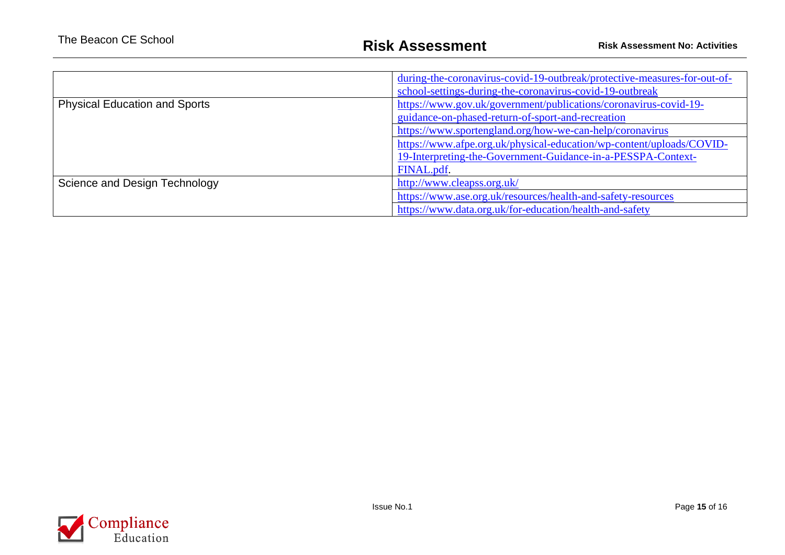|                                      | during-the-coronavirus-covid-19-outbreak/protective-measures-for-out-of-<br>school-settings-during-the-coronavirus-covid-19-outbreak |  |  |
|--------------------------------------|--------------------------------------------------------------------------------------------------------------------------------------|--|--|
| <b>Physical Education and Sports</b> | https://www.gov.uk/government/publications/coronavirus-covid-19-<br>guidance-on-phased-return-of-sport-and-recreation                |  |  |
|                                      | https://www.sportengland.org/how-we-can-help/coronavirus                                                                             |  |  |
|                                      | https://www.afpe.org.uk/physical-education/wp-content/uploads/COVID-<br>19-Interpreting-the-Government-Guidance-in-a-PESSPA-Context- |  |  |
|                                      | FINAL.pdf.                                                                                                                           |  |  |
| Science and Design Technology        | http://www.cleapss.org.uk/                                                                                                           |  |  |
|                                      | https://www.ase.org.uk/resources/health-and-safety-resources                                                                         |  |  |
|                                      | https://www.data.org.uk/for-education/health-and-safety                                                                              |  |  |